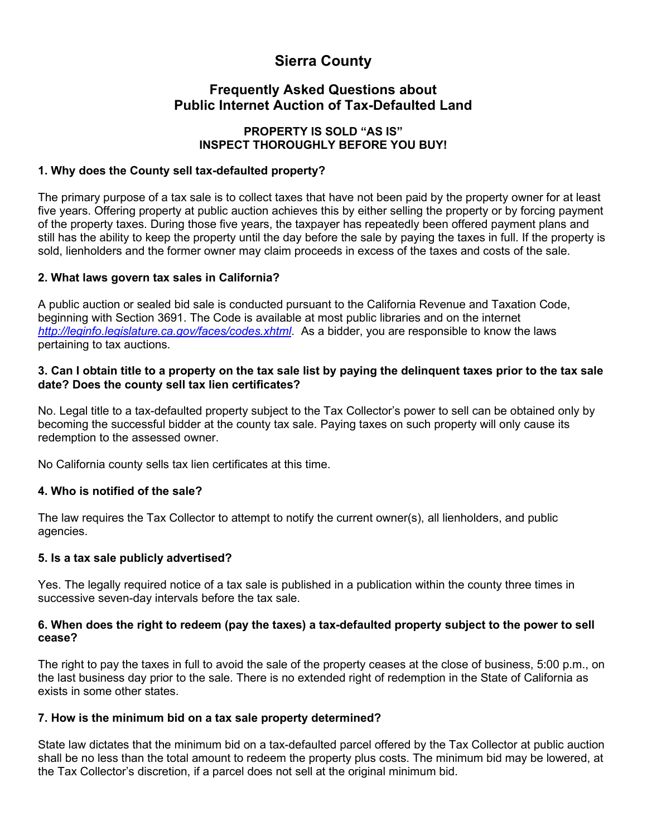# **Sierra County**

## **Frequently Asked Questions about Public Internet Auction of Tax-Defaulted Land**

#### **PROPERTY IS SOLD "AS IS" INSPECT THOROUGHLY BEFORE YOU BUY!**

#### **1. Why does the County sell tax-defaulted property?**

The primary purpose of a tax sale is to collect taxes that have not been paid by the property owner for at least five years. Offering property at public auction achieves this by either selling the property or by forcing payment of the property taxes. During those five years, the taxpayer has repeatedly been offered payment plans and still has the ability to keep the property until the day before the sale by paying the taxes in full. If the property is sold, lienholders and the former owner may claim proceeds in excess of the taxes and costs of the sale.

#### **2. What laws govern tax sales in California?**

A public auction or sealed bid sale is conducted pursuant to the California Revenue and Taxation Code, beginning with Section 3691. The Code is available at most public libraries and on the internet *<http://leginfo.legislature.ca.gov/faces/codes.xhtml>*. As a bidder, you are responsible to know the laws pertaining to tax auctions.

#### **3. Can I obtain title to a property on the tax sale list by paying the delinquent taxes prior to the tax sale date? Does the county sell tax lien certificates?**

No. Legal title to a tax-defaulted property subject to the Tax Collector's power to sell can be obtained only by becoming the successful bidder at the county tax sale. Paying taxes on such property will only cause its redemption to the assessed owner.

No California county sells tax lien certificates at this time.

#### **4. Who is notified of the sale?**

The law requires the Tax Collector to attempt to notify the current owner(s), all lienholders, and public agencies.

#### **5. Is a tax sale publicly advertised?**

Yes. The legally required notice of a tax sale is published in a publication within the county three times in successive seven-day intervals before the tax sale.

#### **6. When does the right to redeem (pay the taxes) a tax-defaulted property subject to the power to sell cease?**

The right to pay the taxes in full to avoid the sale of the property ceases at the close of business, 5:00 p.m., on the last business day prior to the sale. There is no extended right of redemption in the State of California as exists in some other states.

#### **7. How is the minimum bid on a tax sale property determined?**

State law dictates that the minimum bid on a tax-defaulted parcel offered by the Tax Collector at public auction shall be no less than the total amount to redeem the property plus costs. The minimum bid may be lowered, at the Tax Collector's discretion, if a parcel does not sell at the original minimum bid.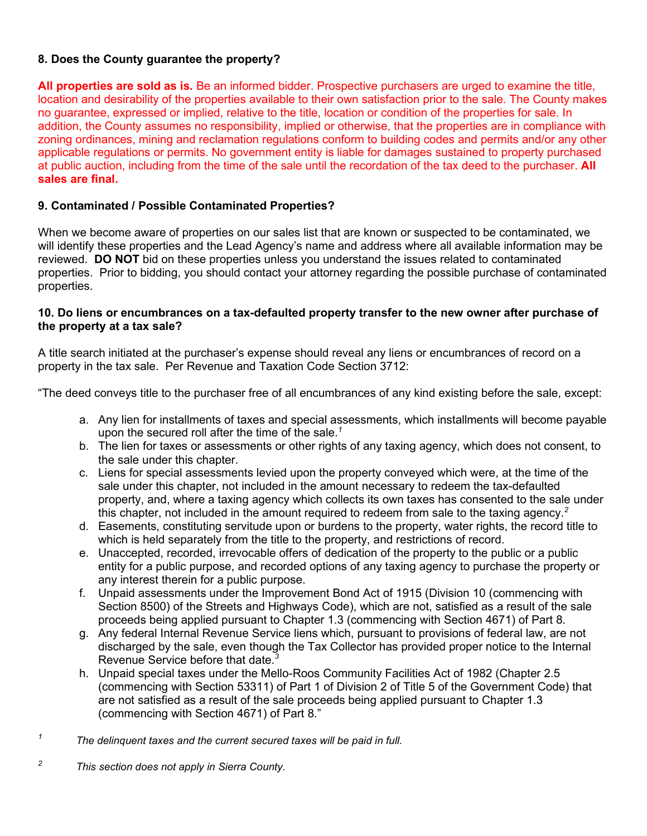#### **8. Does the County guarantee the property?**

**All properties are sold as is.** Be an informed bidder. Prospective purchasers are urged to examine the title, location and desirability of the properties available to their own satisfaction prior to the sale. The County makes no guarantee, expressed or implied, relative to the title, location or condition of the properties for sale. In addition, the County assumes no responsibility, implied or otherwise, that the properties are in compliance with zoning ordinances, mining and reclamation regulations conform to building codes and permits and/or any other applicable regulations or permits. No government entity is liable for damages sustained to property purchased at public auction, including from the time of the sale until the recordation of the tax deed to the purchaser. **All sales are final.**

#### **9. Contaminated / Possible Contaminated Properties?**

When we become aware of properties on our sales list that are known or suspected to be contaminated, we will identify these properties and the Lead Agency's name and address where all available information may be reviewed. **DO NOT** bid on these properties unless you understand the issues related to contaminated properties. Prior to bidding, you should contact your attorney regarding the possible purchase of contaminated properties.

#### **10. Do liens or encumbrances on a tax-defaulted property transfer to the new owner after purchase of the property at a tax sale?**

A title search initiated at the purchaser's expense should reveal any liens or encumbrances of record on a property in the tax sale. Per Revenue and Taxation Code Section 3712:

"The deed conveys title to the purchaser free of all encumbrances of any kind existing before the sale, except:

- a. Any lien for installments of taxes and special assessments, which installments will become payable upon the secured roll after the time of the sale.*<sup>1</sup>*
- b. The lien for taxes or assessments or other rights of any taxing agency, which does not consent, to the sale under this chapter.
- c. Liens for special assessments levied upon the property conveyed which were, at the time of the sale under this chapter, not included in the amount necessary to redeem the tax-defaulted property, and, where a taxing agency which collects its own taxes has consented to the sale under this chapter, not included in the amount required to redeem from sale to the taxing agency.*<sup>2</sup>*
- d. Easements, constituting servitude upon or burdens to the property, water rights, the record title to which is held separately from the title to the property, and restrictions of record.
- e. Unaccepted, recorded, irrevocable offers of dedication of the property to the public or a public entity for a public purpose, and recorded options of any taxing agency to purchase the property or any interest therein for a public purpose.
- f. Unpaid assessments under the Improvement Bond Act of 1915 (Division 10 (commencing with Section 8500) of the Streets and Highways Code), which are not, satisfied as a result of the sale proceeds being applied pursuant to Chapter 1.3 (commencing with Section 4671) of Part 8.
- g. Any federal Internal Revenue Service liens which, pursuant to provisions of federal law, are not discharged by the sale, even though the Tax Collector has provided proper notice to the Internal Revenue Service before that date.*<sup>3</sup>*
- h. Unpaid special taxes under the Mello-Roos Community Facilities Act of 1982 (Chapter 2.5 (commencing with Section 53311) of Part 1 of Division 2 of Title 5 of the Government Code) that are not satisfied as a result of the sale proceeds being applied pursuant to Chapter 1.3 (commencing with Section 4671) of Part 8."
- *<sup>1</sup> The delinquent taxes and the current secured taxes will be paid in full.*
- *<sup>2</sup> This section does not apply in Sierra County.*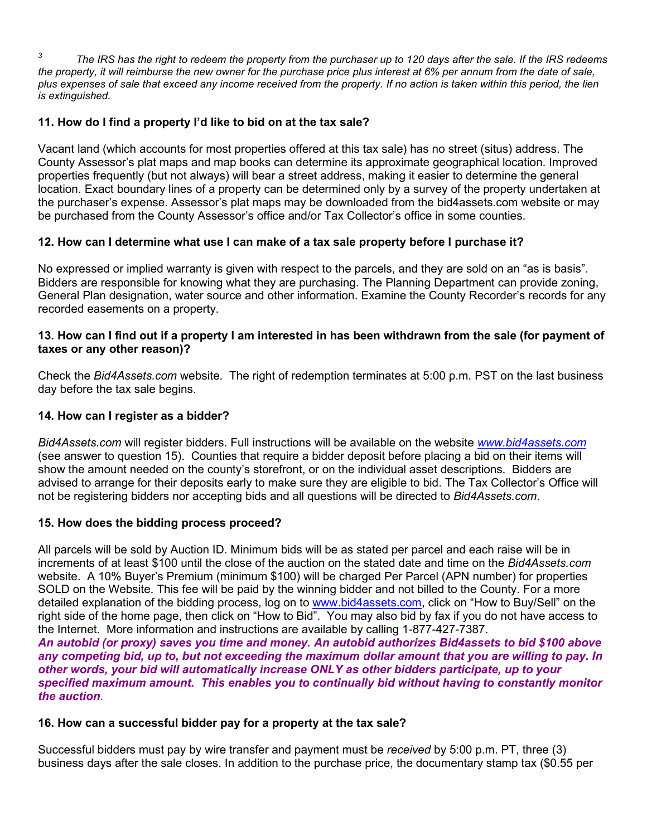*<sup>3</sup> The IRS has the right to redeem the property from the purchaser up to 120 days after the sale. If the IRS redeems the property, it will reimburse the new owner for the purchase price plus interest at 6% per annum from the date of sale, plus expenses of sale that exceed any income received from the property. If no action is taken within this period, the lien is extinguished.*

## **11. How do I find a property I'd like to bid on at the tax sale?**

Vacant land (which accounts for most properties offered at this tax sale) has no street (situs) address. The County Assessor's plat maps and map books can determine its approximate geographical location. Improved properties frequently (but not always) will bear a street address, making it easier to determine the general location. Exact boundary lines of a property can be determined only by a survey of the property undertaken at the purchaser's expense. Assessor's plat maps may be downloaded from the bid4assets.com website or may be purchased from the County Assessor's office and/or Tax Collector's office in some counties.

## **12. How can I determine what use I can make of a tax sale property before I purchase it?**

No expressed or implied warranty is given with respect to the parcels, and they are sold on an "as is basis". Bidders are responsible for knowing what they are purchasing. The Planning Department can provide zoning, General Plan designation, water source and other information. Examine the County Recorder's records for any recorded easements on a property.

#### **13. How can I find out if a property I am interested in has been withdrawn from the sale (for payment of taxes or any other reason)?**

Check the *Bid4Assets.com* website. The right of redemption terminates at 5:00 p.m. PST on the last business day before the tax sale begins.

## **14. How can I register as a bidder?**

*Bid4Assets.com* will register bidders. Full instructions will be available on the website *[www.bid4assets.com](http://www.bid4assets.com/)* (see answer to question 15). Counties that require a bidder deposit before placing a bid on their items will show the amount needed on the county's storefront, or on the individual asset descriptions. Bidders are advised to arrange for their deposits early to make sure they are eligible to bid. The Tax Collector's Office will not be registering bidders nor accepting bids and all questions will be directed to *Bid4Assets.com*.

## **15. How does the bidding process proceed?**

All parcels will be sold by Auction ID. Minimum bids will be as stated per parcel and each raise will be in increments of at least \$100 until the close of the auction on the stated date and time on the *Bid4Assets.com*  website. A 10% Buyer's Premium (minimum \$100) will be charged Per Parcel (APN number) for properties SOLD on the Website. This fee will be paid by the winning bidder and not billed to the County. For a more detailed explanation of the bidding process, log on to [www.bid4assets.com,](http://www.bid4assets.com/) click on "How to Buy/Sell" on the right side of the home page, then click on "How to Bid". You may also bid by fax if you do not have access to the Internet. More information and instructions are available by calling 1-877-427-7387.

*An autobid (or proxy) saves you time and money. An autobid authorizes Bid4assets to bid \$100 above any competing bid, up to, but not exceeding the maximum dollar amount that you are willing to pay. In other words, your bid will automatically increase ONLY as other bidders participate, up to your specified maximum amount. This enables you to continually bid without having to constantly monitor the auction.*

## **16. How can a successful bidder pay for a property at the tax sale?**

Successful bidders must pay by wire transfer and payment must be *received* by 5:00 p.m. PT, three (3) business days after the sale closes. In addition to the purchase price, the documentary stamp tax (\$0.55 per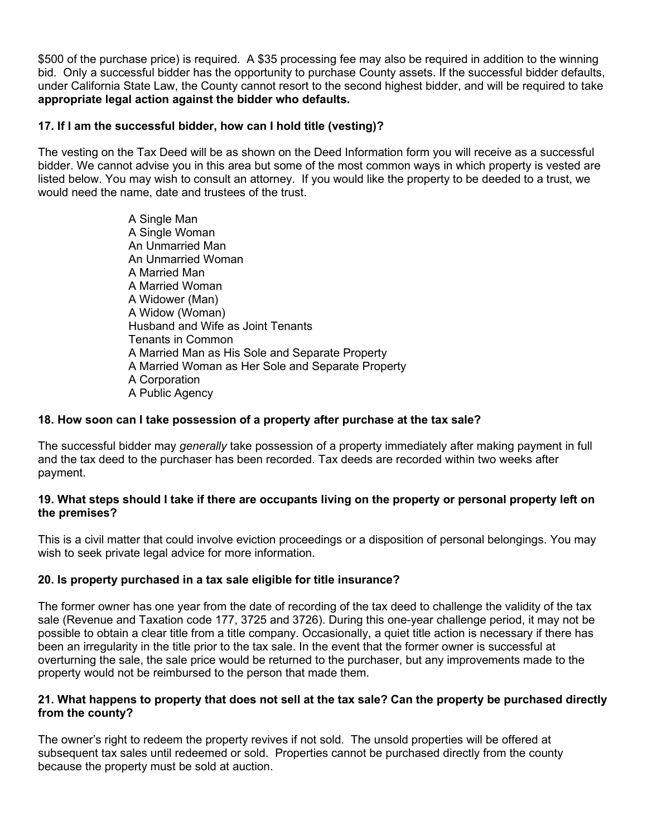\$500 of the purchase price) is required. A \$35 processing fee may also be required in addition to the winning bid. Only a successful bidder has the opportunity to purchase County assets. If the successful bidder defaults, under California State Law, the County cannot resort to the second highest bidder, and will be required to take **appropriate legal action against the bidder who defaults.**

### **17. If I am the successful bidder, how can I hold title (vesting)?**

The vesting on the Tax Deed will be as shown on the Deed Information form you will receive as a successful bidder. We cannot advise you in this area but some of the most common ways in which property is vested are listed below. You may wish to consult an attorney. If you would like the property to be deeded to a trust, we would need the name, date and trustees of the trust.

> A Single Man A Single Woman An Unmarried Man An Unmarried Woman A Married Man A Married Woman A Widower (Man) A Widow (Woman) Husband and Wife as Joint Tenants Tenants in Common A Married Man as His Sole and Separate Property A Married Woman as Her Sole and Separate Property A Corporation A Public Agency

#### **18. How soon can I take possession of a property after purchase at the tax sale?**

The successful bidder may *generally* take possession of a property immediately after making payment in full and the tax deed to the purchaser has been recorded. Tax deeds are recorded within two weeks after payment.

#### **19. What steps should I take if there are occupants living on the property or personal property left on the premises?**

This is a civil matter that could involve eviction proceedings or a disposition of personal belongings. You may wish to seek private legal advice for more information.

#### **20. Is property purchased in a tax sale eligible for title insurance?**

The former owner has one year from the date of recording of the tax deed to challenge the validity of the tax sale (Revenue and Taxation code 177, 3725 and 3726). During this one-year challenge period, it may not be possible to obtain a clear title from a title company. Occasionally, a quiet title action is necessary if there has been an irregularity in the title prior to the tax sale. In the event that the former owner is successful at overturning the sale, the sale price would be returned to the purchaser, but any improvements made to the property would not be reimbursed to the person that made them.

#### **21. What happens to property that does not sell at the tax sale? Can the property be purchased directly from the county?**

The owner's right to redeem the property revives if not sold. The unsold properties will be offered at subsequent tax sales until redeemed or sold. Properties cannot be purchased directly from the county because the property must be sold at auction.